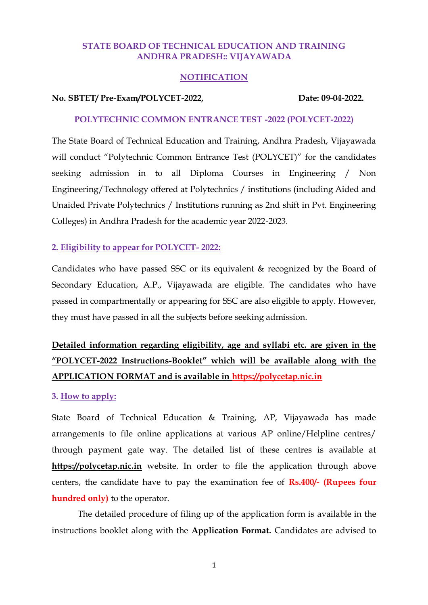### **STATE BOARD OF TECHNICAL EDUCATION AND TRAINING ANDHRA PRADESH:: VIJAYAWADA**

#### **NOTIFICATION**

#### **No. SBTET/ Pre-Exam/POLYCET-2022, Date: 09-04-2022.**

#### **POLYTECHNIC COMMON ENTRANCE TEST -2022 (POLYCET-2022)**

The State Board of Technical Education and Training, Andhra Pradesh, Vijayawada will conduct "Polytechnic Common Entrance Test (POLYCET)" for the candidates seeking admission in to all Diploma Courses in Engineering / Non Engineering/Technology offered at Polytechnics / institutions (including Aided and Unaided Private Polytechnics / Institutions running as 2nd shift in Pvt. Engineering Colleges) in Andhra Pradesh for the academic year 2022-2023.

# **2. Eligibility to appear for POLYCET- 2022:**

Candidates who have passed SSC or its equivalent & recognized by the Board of Secondary Education, A.P., Vijayawada are eligible. The candidates who have passed in compartmentally or appearing for SSC are also eligible to apply. However, they must have passed in all the subjects before seeking admission.

# **Detailed information regarding eligibility, age and syllabi etc. are given in the "POLYCET-2022 Instructions-Booklet" which will be available along with the APPLICATION FORMAT and is available in https://polycetap.nic.in**

#### **3. How to apply:**

State Board of Technical Education & Training, AP, Vijayawada has made arrangements to file online applications at various AP online/Helpline centres/ through payment gate way. The detailed list of these centres is available at **https://polycetap.nic.in** website. In order to file the application through above centers, the candidate have to pay the examination fee of **Rs.400/- (Rupees four hundred only)** to the operator.

The detailed procedure of filing up of the application form is available in the instructions booklet along with the **Application Format.** Candidates are advised to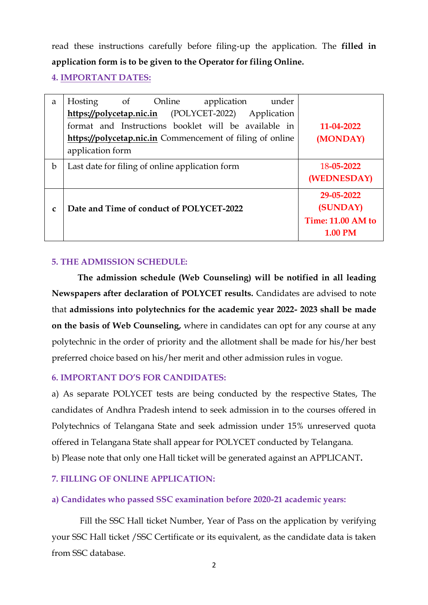read these instructions carefully before filing-up the application. The **filled in application form is to be given to the Operator for filing Online.** 

**4. IMPORTANT DATES:**

| a            | Online<br>Hosting<br>application<br>under<br>$\circ$ of   |                          |
|--------------|-----------------------------------------------------------|--------------------------|
|              | (POLYCET-2022)<br>https://polycetap.nic.in<br>Application |                          |
|              | format and Instructions booklet will be available in      | 11-04-2022               |
|              | https://polycetap.nic.in Commencement of filing of online | (MONDAY)                 |
|              | application form                                          |                          |
| b            | Last date for filing of online application form           | 18-05-2022               |
|              |                                                           | (WEDNESDAY)              |
|              |                                                           | 29-05-2022               |
| $\mathbf{C}$ | Date and Time of conduct of POLYCET-2022                  | (SUNDAY)                 |
|              |                                                           | <b>Time: 11.00 AM to</b> |
|              |                                                           | <b>1.00 PM</b>           |

# **5. THE ADMISSION SCHEDULE:**

**The admission schedule (Web Counseling) will be notified in all leading Newspapers after declaration of POLYCET results.** Candidates are advised to note that **admissions into polytechnics for the academic year 2022- 2023 shall be made on the basis of Web Counseling,** where in candidates can opt for any course at any polytechnic in the order of priority and the allotment shall be made for his/her best preferred choice based on his/her merit and other admission rules in vogue.

# **6. IMPORTANT DO'S FOR CANDIDATES:**

a) As separate POLYCET tests are being conducted by the respective States, The candidates of Andhra Pradesh intend to seek admission in to the courses offered in Polytechnics of Telangana State and seek admission under 15% unreserved quota offered in Telangana State shall appear for POLYCET conducted by Telangana. b) Please note that only one Hall ticket will be generated against an APPLICANT**.**

# **7. FILLING OF ONLINE APPLICATION:**

# **a) Candidates who passed SSC examination before 2020-21 academic years:**

Fill the SSC Hall ticket Number, Year of Pass on the application by verifying your SSC Hall ticket /SSC Certificate or its equivalent, as the candidate data is taken from SSC database.